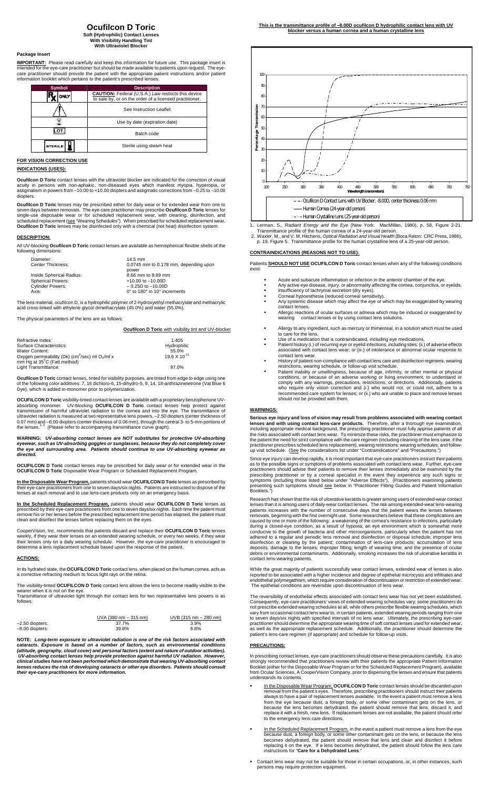## **Ocufilcon D Toric**

**Soft (Hydrophilic) Contact Lenses With Visibility Handling Tint With Ultraviolet Block** 

## **Package Insert**

**IMPORTANT:** Please read carefully and keep this information for future use. This package insert is<br>intended for the eye-care practitioner but should be made available to patients upon request. The eye-<br>care practitioner s

| <b>Symbol</b>  | <b>Description</b>                                                                                                    |  |
|----------------|-----------------------------------------------------------------------------------------------------------------------|--|
| ONLY           | <b>CAUTION:</b> Federal (U.S.A.) Law restricts this device<br>to sale by, or on the order of a licensed practitioner. |  |
|                | See Instruction Leaflet                                                                                               |  |
|                | Use by date (expiration date)                                                                                         |  |
| - יס           | Batch code                                                                                                            |  |
| <b>STERILE</b> | Sterile using steam heat                                                                                              |  |

## **FOR VISION CORRECTION USE**

**INDICATIONS (USES):** 

**Ocufilcon D Toric** contact lenses with the ultraviolet blocker are indicated for the correction of visual acuity in persons with non-aphakic, non-diseased eyes which manifest myopia, hyperopia, or astigmatism in powers from –10.00 to +10.00 diopters and astigmatic corrections from –0.25 to –10.00 diopters.

**Ocufilcon D Toric** lenses may be prescribed either for daily wear or for extended wear from one to<br>seven days between removals. The eye-care practitioner may prescribe **Ocufilcon D Toric** lenses for<br>single-use disposable

#### **DESCRIPTION:**

All UV-blocking **Ocufilcon D Toric** contact lenses are available as hemispherical flexible shells of the following dimensions:

| $14.5$ mm                             |  |
|---------------------------------------|--|
| 0.0745 mm to 0.178 mm, depending upon |  |
| power                                 |  |
| 8.66 mm to 9.89 mm                    |  |
| $+10.00$ to $-10.00$ D                |  |
| $-0.25D$ to $-10.00D$                 |  |
| 0° to 180° in 10° increments          |  |
|                                       |  |

The lens material, ocufilcon D, is a hydrophilic polymer of 2-hydroxyethyl methacrylate and methacrylic acid cross-linked with ethylene glycol dimethacrylate (45.0%) and water (55.0%).

The physical parameters of the lens are as follows:

#### **Ocufilcon D Toric** with visibility tint and UV-blocker

| Refractive Index:                                                       | 1.405                  |
|-------------------------------------------------------------------------|------------------------|
| Surface Characteristics:                                                | Hydrophilic            |
| Water Content:                                                          | 55.0%                  |
| Oxygen permeability (Dk) (cm <sup>2</sup> /sec) ml O <sub>2</sub> /ml x | $19.6 \times 10^{-11}$ |
| mm Hg at 35 <sup>°</sup> C (Fatt method)                                |                        |
| Light Transmittance:                                                    | 97.0%                  |

**Ocufilcon D Toric** contact lenses, tinted for visibility purposes, are tinted from edge to edge using of the following color additives: 7, 16 dichloro-6, 15-dihydro-5, 9, 14, 18-anthrazinetetrone (Vat Blue 6 Dye), which is added in-monomer prior to polymerization.

**OCUFILCON D Toric** visibility-tinted contact lenses are available with a proprietary benzophenone UV-<br>absorbing monomer. UV-blocking **OCUFILCON D Toric** contact lenses help protect against<br>transmission of harmful ultravi

**WARNING:** *UV-absorbing contact lenses are NOT substitutes for protective UV-absorbing eyewear, such as UV-absorbing goggles or sunglasses, because they do not completely cover the eye and surrounding area. Patients should continue to use UV-absorbing eyewear as direction*<br> *different*<br> *diad.* 

**OCUFILCON D Toric** contact lenses may be prescribed for daily wear or for extended wear in the **OCUFILCON D Toric** Disposable Wear Program or Scheduled Replacement Program.

**In the Disposable Wear Program,** patients should wear **OCUFILCON D Toric** lenses as prescribed by their eye-care practitioners from one to seven days/six nights. Patients are instructed to dispose of the lenses at each removal and to use lens-care products only on an emergency basis.

In the Scheduled Replacement Program, patients should wear OCUFILCON D Toric lenses as<br>prescribed by their eye-care practitioners from one to seven days/six nights. Each time the patient must<br>remove his or her lenses befor

CooperVision, Inc, recommends that patients discard and replace their **OCUFILCON D Toric** lenses weekly, if they wear their lenses on an extended wearing schedule, or every two weeks, if they wear<br>their lenses only on a daily wearing schedule. However, the eye-care practitioner is encouraged to<br>determine a lens repla

#### **ACTIONS:**

In its hydrated state, the **OCUFILCON D Toric** contact lens, when placed on the human cornea, acts as a corrective refracting medium to focus light rays on the retina.

The visibility-tinted **OCUFILCON D Toric** contact lens allows the lens to become readily visible to the

wearer when it is not on the eye. Transmittance of ultraviolet light through the contact lens for two representative lens powers is as follows:

|                 | $UVA (380 nm - 315 nm)$ | UVB (315 nm - 280 nm) |
|-----------------|-------------------------|-----------------------|
| -2.50 diopters: | 37.7%                   | 3.9%                  |
| -8.00 diopters: | 39.8%                   | $6.8\%$               |

**NOTE:** *Long-term exposure to ultraviolet radiation is one of the risk factors associated with*  cataracts. Exposure is based on a number of factors, such as environmental conditions<br>(altitude, geography, cloud cover) and personal factors (extent and nature of outdoor activities).<br>UV-absorbing contact lenses help prov clinical studies have not been performed which demonstrate that wearing UV-absorbing contact<br>lenses reduces the risk of developing cataracts or other eye disorders. Patients should consult<br>their eye-care practitioners for



1. Lerman, S., Radiant Energy and the Eye (New York: MacMillan, 1980), p. 58, Figure 2-21.<br>Transmittance profile of the human cornea of a 24-year-old person.<br>2. Waxler, M., and V. M. Hitchens, Optical Radiation and Visual

## **CONTRAINDICATIONS (REASONS NOT TO USE):**

Patients **SHOULD NOT USE OCUFILCON D Toric** contact lenses when any of the following conditions exist:

- Acute and subacute inflammation or infection in the anterior chamber of the eye.
- Any active eye disease, injury, or abnormality affecting the cornea, conjunctiva, or eyelids. Insufficiency of lachrymal secretion (dry eyes). Corneal hypoesthesia (reduced corneal sensitivity).
- 
- 
- Any systemic disease which may affect the eye or which may be exaggerated by wearing contact lenses. Allergic reactions of ocular surfaces or adnexa which may be induced or exaggerated by wearing contact lenses or by using contact lens solutions.
- 
- 
- Allergy to any ingredient, such as mercury or thimerosal, in a solution which must be used<br>to care for the lens.<br>Use of a medication that is contraindicated, including eye medications.<br>Patient history (i.) of recurring eye contact lens wear.
- History of patient non-compliance with contact lens care and disinfection regimens, wearing
- restrictions, wearing schedule, or follow-up visit schedule.<br>
Patient inability or unwillingness, because of age, infirmity, or other mental or physical<br>
conditions, or because of an adverse working or living environment,

## **WARNINGS:**

**Serious eye injury and loss of vision may result from problems associated with wearing contact lenses and with using contact lens-care products.** Therefore, after a thorough eye examination, including appropriate medical background, the prescribing practitioner must fully apprise patients of all<br>the risks associated with contact lens wear. To minimize these risks, the practitioner must emphasize to<br>the patient

Since eye injury can develop rapidly, it is most important that eye-care practitioners instruct their patients<br>as to the possible signs or symptoms of problems associated with contact lens wear. Further, eye-care<br>practitio

Research has shown that the risk of ulcerative keratitis is greater among users of extended-wear contact<br>lenses than it is among users of daily-wear contact lenses. The risk among extended-wear contact<br>patients increases w contact lens-wearing patients.

While the great majority of patients successfully wear contact lenses, extended wear of lenses is also<br>reported to be associated with a higher incidence and degree of epithelial microcysts and infiltrates and<br>endothelial p The epithelial conditions are reversible upon discontinuation of lens wear.

The reversibility of endothelial effects associated with contact lens wear has not yet been established.<br>Consequently, eye-care practitioners' views of extended wearing schedules vary; some practitioners do<br>not prescribe e

#### **PRECAUTIONS:**

In prescribing contact lenses, eye-care practitioners should observe these precautions carefully. It is also strongly recommended that practitioners review with their patients the appropriate Patient Information<br>Booklet (either for the Disposable Wear Program or for the Scheduled Replacement Program), available<br>from Ocular Scienc understands its contents.

- In the Disposable Wear Program, **OCUFILCON D Toric** contact lenses should be discarded upon<br>removal from the patient's eyes. Therefore, precarbing practitioners should instruct their patient<br>always to have a pair of replac to the emergency lens care directions.
- In the Scheduled Replacement Program, in the event a patient must remove a lens from the eye<br>because dust, a foreign body, or some other contaminant gets on the lens, or because the lens<br>becomes dehydrated, the patient sho replacing it on the eye. If a lens becomes dehydrated, the patient should follow the lens care ns for "**Care for a Dehydrated Lens.**
- Contact lens wear may not be suitable for those in certain occupations, or, in other instances, such persons may require protection equipment.